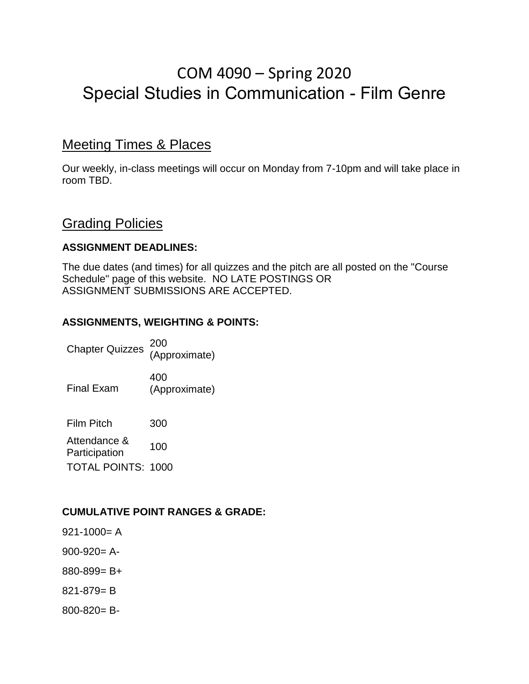# COM 4090 – Spring 2020 Special Studies in Communication - Film Genre

## Meeting Times & Places

Our weekly, in-class meetings will occur on Monday from 7-10pm and will take place in room TBD.

### **Grading Policies**

#### **ASSIGNMENT DEADLINES:**

The due dates (and times) for all quizzes and the pitch are all posted on the "Course Schedule" page of this website. NO LATE POSTINGS OR ASSIGNMENT SUBMISSIONS ARE ACCEPTED.

#### **ASSIGNMENTS, WEIGHTING & POINTS:**

Chapter Quizzes <sup>200</sup> (Approximate) 400

Final Exam (Approximate)

Film Pitch 300

Attendance & Participation 100 TOTAL POINTS: 1000

#### **CUMULATIVE POINT RANGES & GRADE:**

- $921 1000 = A$
- $900-920=$  A-
- 880-899= B+
- 821-879= B
- 800-820= B-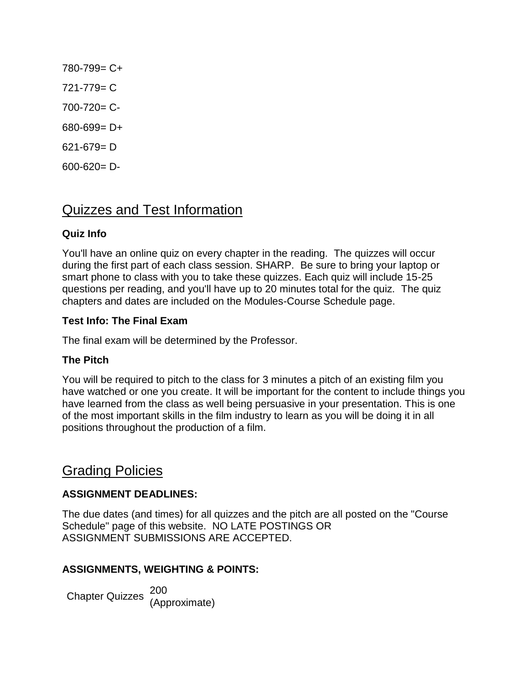780-799= C+  $721 - 779 = C$ 700-720= C-680-699= D+ 621-679= D  $600 - 620 = D -$ 

## Quizzes and Test Information

#### **Quiz Info**

You'll have an online quiz on every chapter in the reading. The quizzes will occur during the first part of each class session. SHARP. Be sure to bring your laptop or smart phone to class with you to take these quizzes. Each quiz will include 15-25 questions per reading, and you'll have up to 20 minutes total for the quiz. The quiz chapters and dates are included on the Modules-Course Schedule page.

#### **Test Info: The Final Exam**

The final exam will be determined by the Professor.

#### **The Pitch**

You will be required to pitch to the class for 3 minutes a pitch of an existing film you have watched or one you create. It will be important for the content to include things you have learned from the class as well being persuasive in your presentation. This is one of the most important skills in the film industry to learn as you will be doing it in all positions throughout the production of a film.

## Grading Policies

#### **ASSIGNMENT DEADLINES:**

The due dates (and times) for all quizzes and the pitch are all posted on the "Course Schedule" page of this website. NO LATE POSTINGS OR ASSIGNMENT SUBMISSIONS ARE ACCEPTED.

#### **ASSIGNMENTS, WEIGHTING & POINTS:**

Chapter Quizzes <sup>200</sup> (Approximate)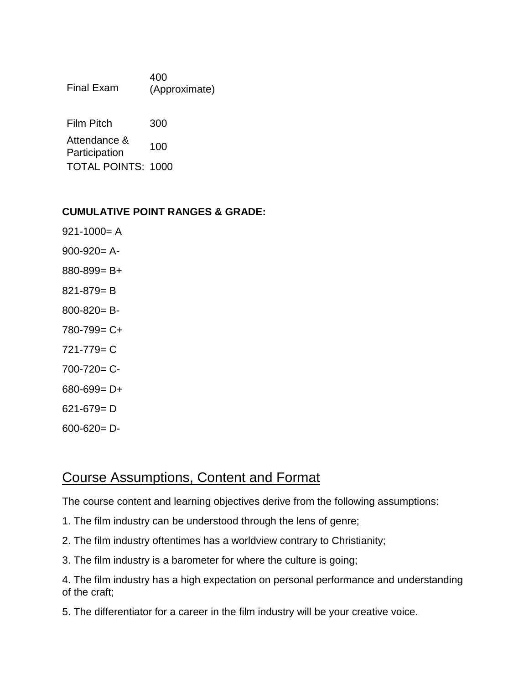| <b>Final Exam</b>             | 400<br>(Approximate) |
|-------------------------------|----------------------|
| <b>Film Pitch</b>             | 300                  |
| Attendance &<br>Participation | 100                  |
| <b>TOTAL POINTS: 1000</b>     |                      |

#### **CUMULATIVE POINT RANGES & GRADE:**

 $921 - 1000 = A$  $900-920=$  A-880-899= B+ 821-879= B 800-820= B-780-799= C+ 721-779= C 700-720= C-680-699= D+ 621-679= D 600-620= D-

## Course Assumptions, Content and Format

The course content and learning objectives derive from the following assumptions:

- 1. The film industry can be understood through the lens of genre;
- 2. The film industry oftentimes has a worldview contrary to Christianity;
- 3. The film industry is a barometer for where the culture is going;

4. The film industry has a high expectation on personal performance and understanding of the craft;

5. The differentiator for a career in the film industry will be your creative voice.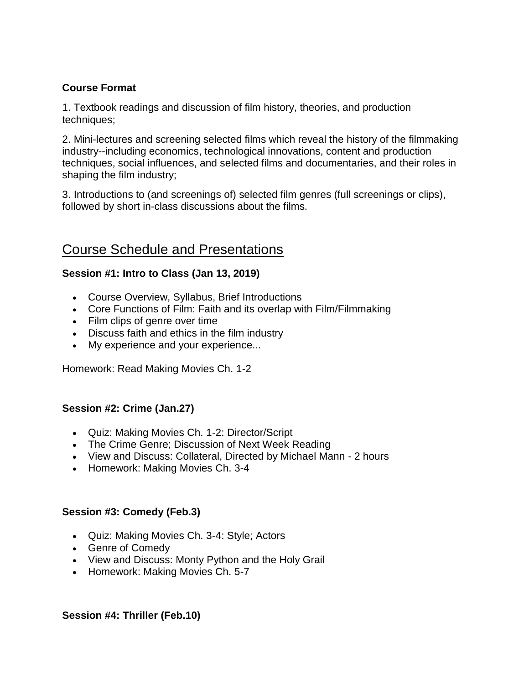#### **Course Format**

1. Textbook readings and discussion of film history, theories, and production techniques;

2. Mini-lectures and screening selected films which reveal the history of the filmmaking industry--including economics, technological innovations, content and production techniques, social influences, and selected films and documentaries, and their roles in shaping the film industry;

3. Introductions to (and screenings of) selected film genres (full screenings or clips), followed by short in-class discussions about the films.

## Course Schedule and Presentations

#### **Session #1: Intro to Class (Jan 13, 2019)**

- Course Overview, Syllabus, Brief Introductions
- Core Functions of Film: Faith and its overlap with Film/Filmmaking
- Film clips of genre over time
- Discuss faith and ethics in the film industry
- My experience and your experience...

Homework: Read Making Movies Ch. 1-2

#### **Session #2: Crime (Jan.27)**

- Quiz: Making Movies Ch. 1-2: Director/Script
- The Crime Genre; Discussion of Next Week Reading
- View and Discuss: Collateral, Directed by Michael Mann 2 hours
- Homework: Making Movies Ch. 3-4

#### **Session #3: Comedy (Feb.3)**

- Quiz: Making Movies Ch. 3-4: Style; Actors
- Genre of Comedy
- View and Discuss: Monty Python and the Holy Grail
- Homework: Making Movies Ch. 5-7

#### **Session #4: Thriller (Feb.10)**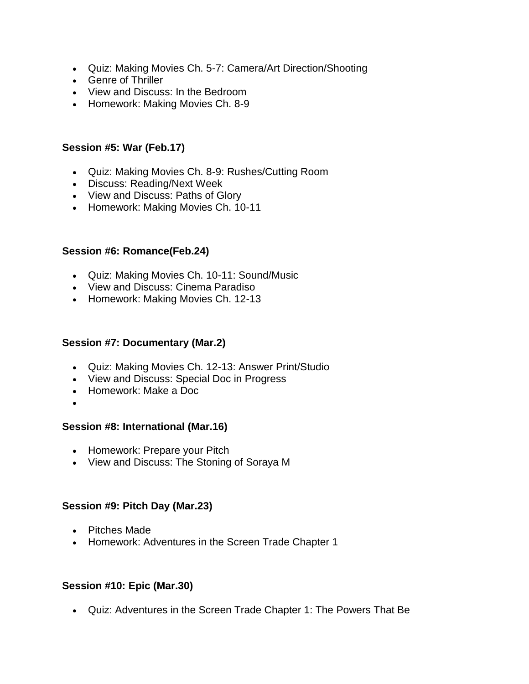- Quiz: Making Movies Ch. 5-7: Camera/Art Direction/Shooting
- Genre of Thriller
- View and Discuss: In the Bedroom
- Homework: Making Movies Ch. 8-9

#### **Session #5: War (Feb.17)**

- Quiz: Making Movies Ch. 8-9: Rushes/Cutting Room
- Discuss: Reading/Next Week
- View and Discuss: Paths of Glory
- Homework: Making Movies Ch. 10-11

#### **Session #6: Romance(Feb.24)**

- Quiz: Making Movies Ch. 10-11: Sound/Music
- View and Discuss: Cinema Paradiso
- Homework: Making Movies Ch. 12-13

#### **Session #7: Documentary (Mar.2)**

- Quiz: Making Movies Ch. 12-13: Answer Print/Studio
- View and Discuss: Special Doc in Progress
- Homework: Make a Doc
- $\bullet$

#### **Session #8: International (Mar.16)**

- Homework: Prepare your Pitch
- View and Discuss: The Stoning of Soraya M

#### **Session #9: Pitch Day (Mar.23)**

- Pitches Made
- Homework: Adventures in the Screen Trade Chapter 1

#### **Session #10: Epic (Mar.30)**

Quiz: Adventures in the Screen Trade Chapter 1: The Powers That Be